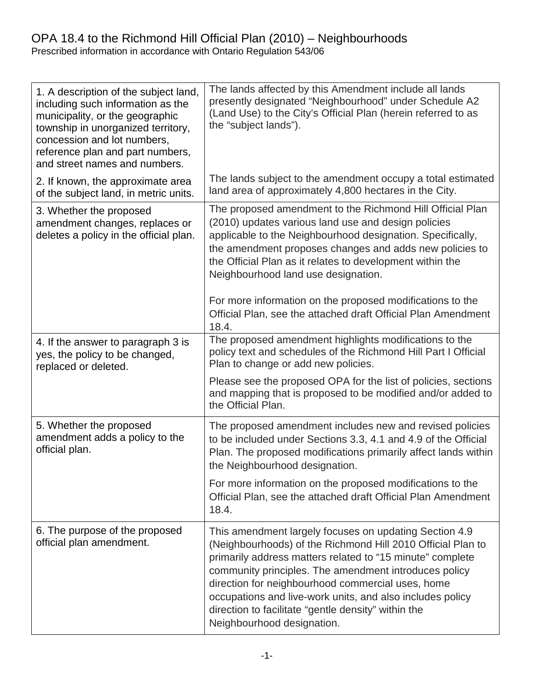### OPA 18.4 to the Richmond Hill Official Plan (2010) – Neighbourhoods Prescribed information in accordance with Ontario Regulation 543/06

| 1. A description of the subject land,<br>including such information as the<br>municipality, or the geographic<br>township in unorganized territory,<br>concession and lot numbers,<br>reference plan and part numbers,<br>and street names and numbers. | The lands affected by this Amendment include all lands<br>presently designated "Neighbourhood" under Schedule A2<br>(Land Use) to the City's Official Plan (herein referred to as<br>the "subject lands").                                                                                                                                                                                                                                         |
|---------------------------------------------------------------------------------------------------------------------------------------------------------------------------------------------------------------------------------------------------------|----------------------------------------------------------------------------------------------------------------------------------------------------------------------------------------------------------------------------------------------------------------------------------------------------------------------------------------------------------------------------------------------------------------------------------------------------|
| 2. If known, the approximate area<br>of the subject land, in metric units.                                                                                                                                                                              | The lands subject to the amendment occupy a total estimated<br>land area of approximately 4,800 hectares in the City.                                                                                                                                                                                                                                                                                                                              |
| 3. Whether the proposed<br>amendment changes, replaces or<br>deletes a policy in the official plan.                                                                                                                                                     | The proposed amendment to the Richmond Hill Official Plan<br>(2010) updates various land use and design policies<br>applicable to the Neighbourhood designation. Specifically,<br>the amendment proposes changes and adds new policies to<br>the Official Plan as it relates to development within the<br>Neighbourhood land use designation.<br>For more information on the proposed modifications to the                                         |
|                                                                                                                                                                                                                                                         | Official Plan, see the attached draft Official Plan Amendment<br>18.4.                                                                                                                                                                                                                                                                                                                                                                             |
| 4. If the answer to paragraph 3 is<br>yes, the policy to be changed,<br>replaced or deleted.                                                                                                                                                            | The proposed amendment highlights modifications to the<br>policy text and schedules of the Richmond Hill Part I Official<br>Plan to change or add new policies.                                                                                                                                                                                                                                                                                    |
|                                                                                                                                                                                                                                                         | Please see the proposed OPA for the list of policies, sections<br>and mapping that is proposed to be modified and/or added to<br>the Official Plan.                                                                                                                                                                                                                                                                                                |
| 5. Whether the proposed<br>amendment adds a policy to the<br>official plan.                                                                                                                                                                             | The proposed amendment includes new and revised policies<br>to be included under Sections 3.3, 4.1 and 4.9 of the Official<br>Plan. The proposed modifications primarily affect lands within<br>the Neighbourhood designation.                                                                                                                                                                                                                     |
|                                                                                                                                                                                                                                                         | For more information on the proposed modifications to the<br>Official Plan, see the attached draft Official Plan Amendment<br>18.4.                                                                                                                                                                                                                                                                                                                |
| 6. The purpose of the proposed<br>official plan amendment.                                                                                                                                                                                              | This amendment largely focuses on updating Section 4.9<br>(Neighbourhoods) of the Richmond Hill 2010 Official Plan to<br>primarily address matters related to "15 minute" complete<br>community principles. The amendment introduces policy<br>direction for neighbourhood commercial uses, home<br>occupations and live-work units, and also includes policy<br>direction to facilitate "gentle density" within the<br>Neighbourhood designation. |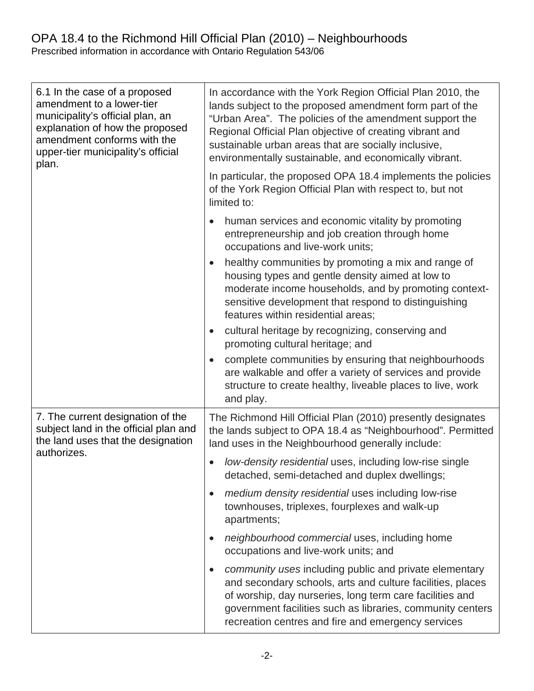## OPA 18.4 to the Richmond Hill Official Plan (2010) – Neighbourhoods Prescribed information in accordance with Ontario Regulation 543/06

| 6.1 In the case of a proposed<br>amendment to a lower-tier<br>municipality's official plan, an<br>explanation of how the proposed<br>amendment conforms with the<br>upper-tier municipality's official<br>plan. | In accordance with the York Region Official Plan 2010, the<br>lands subject to the proposed amendment form part of the<br>"Urban Area". The policies of the amendment support the<br>Regional Official Plan objective of creating vibrant and<br>sustainable urban areas that are socially inclusive,<br>environmentally sustainable, and economically vibrant. |
|-----------------------------------------------------------------------------------------------------------------------------------------------------------------------------------------------------------------|-----------------------------------------------------------------------------------------------------------------------------------------------------------------------------------------------------------------------------------------------------------------------------------------------------------------------------------------------------------------|
|                                                                                                                                                                                                                 | In particular, the proposed OPA 18.4 implements the policies<br>of the York Region Official Plan with respect to, but not<br>limited to:                                                                                                                                                                                                                        |
|                                                                                                                                                                                                                 | human services and economic vitality by promoting<br>entrepreneurship and job creation through home<br>occupations and live-work units;                                                                                                                                                                                                                         |
|                                                                                                                                                                                                                 | healthy communities by promoting a mix and range of<br>housing types and gentle density aimed at low to<br>moderate income households, and by promoting context-<br>sensitive development that respond to distinguishing<br>features within residential areas;                                                                                                  |
|                                                                                                                                                                                                                 | cultural heritage by recognizing, conserving and<br>promoting cultural heritage; and                                                                                                                                                                                                                                                                            |
|                                                                                                                                                                                                                 | complete communities by ensuring that neighbourhoods<br>are walkable and offer a variety of services and provide<br>structure to create healthy, liveable places to live, work<br>and play.                                                                                                                                                                     |
| 7. The current designation of the<br>subject land in the official plan and<br>the land uses that the designation<br>authorizes.                                                                                 | The Richmond Hill Official Plan (2010) presently designates<br>the lands subject to OPA 18.4 as "Neighbourhood". Permitted<br>land uses in the Neighbourhood generally include:                                                                                                                                                                                 |
|                                                                                                                                                                                                                 | low-density residential uses, including low-rise single<br>detached, semi-detached and duplex dwellings;                                                                                                                                                                                                                                                        |
|                                                                                                                                                                                                                 | medium density residential uses including low-rise<br>$\bullet$<br>townhouses, triplexes, fourplexes and walk-up<br>apartments;                                                                                                                                                                                                                                 |
|                                                                                                                                                                                                                 | neighbourhood commercial uses, including home<br>occupations and live-work units; and                                                                                                                                                                                                                                                                           |
|                                                                                                                                                                                                                 | community uses including public and private elementary<br>and secondary schools, arts and culture facilities, places<br>of worship, day nurseries, long term care facilities and<br>government facilities such as libraries, community centers<br>recreation centres and fire and emergency services                                                            |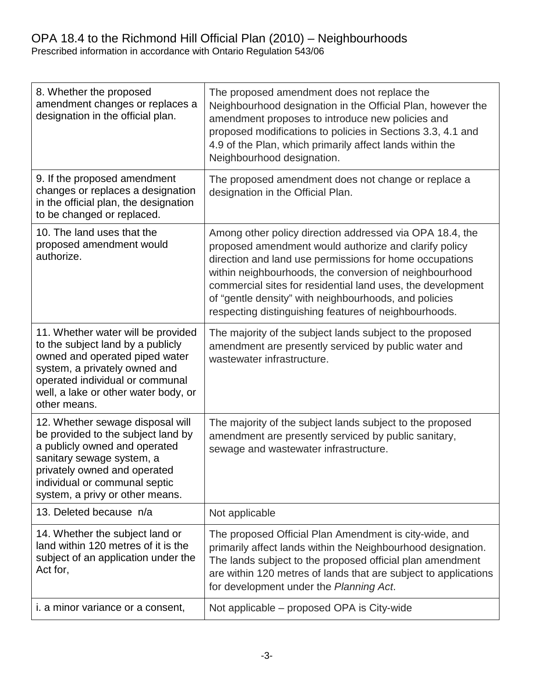# OPA 18.4 to the Richmond Hill Official Plan (2010) – Neighbourhoods

Prescribed information in accordance with Ontario Regulation 543/06

| 8. Whether the proposed<br>amendment changes or replaces a<br>designation in the official plan.                                                                                                                                          | The proposed amendment does not replace the<br>Neighbourhood designation in the Official Plan, however the<br>amendment proposes to introduce new policies and<br>proposed modifications to policies in Sections 3.3, 4.1 and<br>4.9 of the Plan, which primarily affect lands within the<br>Neighbourhood designation.                                                                                                 |
|------------------------------------------------------------------------------------------------------------------------------------------------------------------------------------------------------------------------------------------|-------------------------------------------------------------------------------------------------------------------------------------------------------------------------------------------------------------------------------------------------------------------------------------------------------------------------------------------------------------------------------------------------------------------------|
| 9. If the proposed amendment<br>changes or replaces a designation<br>in the official plan, the designation<br>to be changed or replaced.                                                                                                 | The proposed amendment does not change or replace a<br>designation in the Official Plan.                                                                                                                                                                                                                                                                                                                                |
| 10. The land uses that the<br>proposed amendment would<br>authorize.                                                                                                                                                                     | Among other policy direction addressed via OPA 18.4, the<br>proposed amendment would authorize and clarify policy<br>direction and land use permissions for home occupations<br>within neighbourhoods, the conversion of neighbourhood<br>commercial sites for residential land uses, the development<br>of "gentle density" with neighbourhoods, and policies<br>respecting distinguishing features of neighbourhoods. |
| 11. Whether water will be provided<br>to the subject land by a publicly<br>owned and operated piped water<br>system, a privately owned and<br>operated individual or communal<br>well, a lake or other water body, or<br>other means.    | The majority of the subject lands subject to the proposed<br>amendment are presently serviced by public water and<br>wastewater infrastructure.                                                                                                                                                                                                                                                                         |
| 12. Whether sewage disposal will<br>be provided to the subject land by<br>a publicly owned and operated<br>sanitary sewage system, a<br>privately owned and operated<br>individual or communal septic<br>system, a privy or other means. | The majority of the subject lands subject to the proposed<br>amendment are presently serviced by public sanitary,<br>sewage and wastewater infrastructure.                                                                                                                                                                                                                                                              |
| 13. Deleted because n/a                                                                                                                                                                                                                  | Not applicable                                                                                                                                                                                                                                                                                                                                                                                                          |
| 14. Whether the subject land or<br>land within 120 metres of it is the<br>subject of an application under the<br>Act for,                                                                                                                | The proposed Official Plan Amendment is city-wide, and<br>primarily affect lands within the Neighbourhood designation.<br>The lands subject to the proposed official plan amendment<br>are within 120 metres of lands that are subject to applications<br>for development under the Planning Act.                                                                                                                       |
| <i>i.</i> a minor variance or a consent,                                                                                                                                                                                                 | Not applicable – proposed OPA is City-wide                                                                                                                                                                                                                                                                                                                                                                              |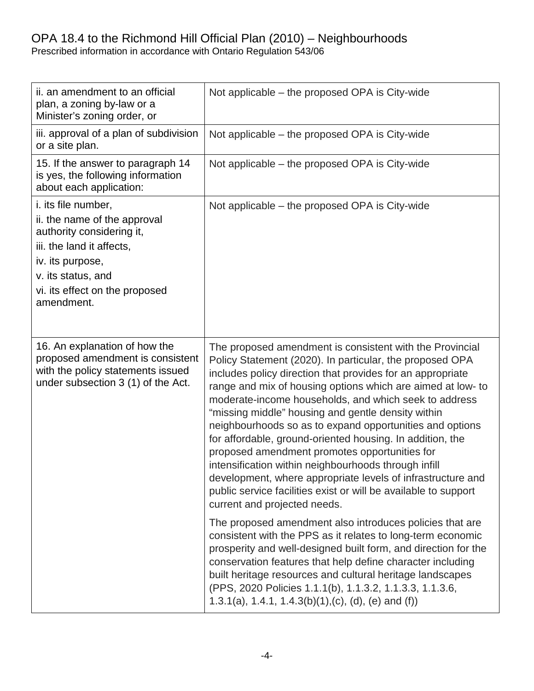## OPA 18.4 to the Richmond Hill Official Plan (2010) – Neighbourhoods

Prescribed information in accordance with Ontario Regulation 543/06

| ii. an amendment to an official<br>plan, a zoning by-law or a<br>Minister's zoning order, or                                                                                                                   | Not applicable – the proposed OPA is City-wide                                                                                                                                                                                                                                                                                                                                                                                                                                                                                                                                                                                                                                                                                                                                                                                                                                                                                                                                                                                                                                                                                                                                                                  |
|----------------------------------------------------------------------------------------------------------------------------------------------------------------------------------------------------------------|-----------------------------------------------------------------------------------------------------------------------------------------------------------------------------------------------------------------------------------------------------------------------------------------------------------------------------------------------------------------------------------------------------------------------------------------------------------------------------------------------------------------------------------------------------------------------------------------------------------------------------------------------------------------------------------------------------------------------------------------------------------------------------------------------------------------------------------------------------------------------------------------------------------------------------------------------------------------------------------------------------------------------------------------------------------------------------------------------------------------------------------------------------------------------------------------------------------------|
| iii. approval of a plan of subdivision<br>or a site plan.                                                                                                                                                      | Not applicable – the proposed OPA is City-wide                                                                                                                                                                                                                                                                                                                                                                                                                                                                                                                                                                                                                                                                                                                                                                                                                                                                                                                                                                                                                                                                                                                                                                  |
| 15. If the answer to paragraph 14<br>is yes, the following information<br>about each application:                                                                                                              | Not applicable – the proposed OPA is City-wide                                                                                                                                                                                                                                                                                                                                                                                                                                                                                                                                                                                                                                                                                                                                                                                                                                                                                                                                                                                                                                                                                                                                                                  |
| <i>i.</i> its file number,<br>ii. the name of the approval<br>authority considering it,<br>iii. the land it affects,<br>iv. its purpose,<br>v. its status, and<br>vi. its effect on the proposed<br>amendment. | Not applicable – the proposed OPA is City-wide                                                                                                                                                                                                                                                                                                                                                                                                                                                                                                                                                                                                                                                                                                                                                                                                                                                                                                                                                                                                                                                                                                                                                                  |
| 16. An explanation of how the<br>proposed amendment is consistent<br>with the policy statements issued<br>under subsection 3 (1) of the Act.                                                                   | The proposed amendment is consistent with the Provincial<br>Policy Statement (2020). In particular, the proposed OPA<br>includes policy direction that provides for an appropriate<br>range and mix of housing options which are aimed at low- to<br>moderate-income households, and which seek to address<br>"missing middle" housing and gentle density within<br>neighbourhoods so as to expand opportunities and options<br>for affordable, ground-oriented housing. In addition, the<br>proposed amendment promotes opportunities for<br>intensification within neighbourhoods through infill<br>development, where appropriate levels of infrastructure and<br>public service facilities exist or will be available to support<br>current and projected needs.<br>The proposed amendment also introduces policies that are<br>consistent with the PPS as it relates to long-term economic<br>prosperity and well-designed built form, and direction for the<br>conservation features that help define character including<br>built heritage resources and cultural heritage landscapes<br>(PPS, 2020 Policies 1.1.1(b), 1.1.3.2, 1.1.3.3, 1.1.3.6,<br>1.3.1(a), 1.4.1, 1.4.3(b)(1),(c), (d), (e) and (f)) |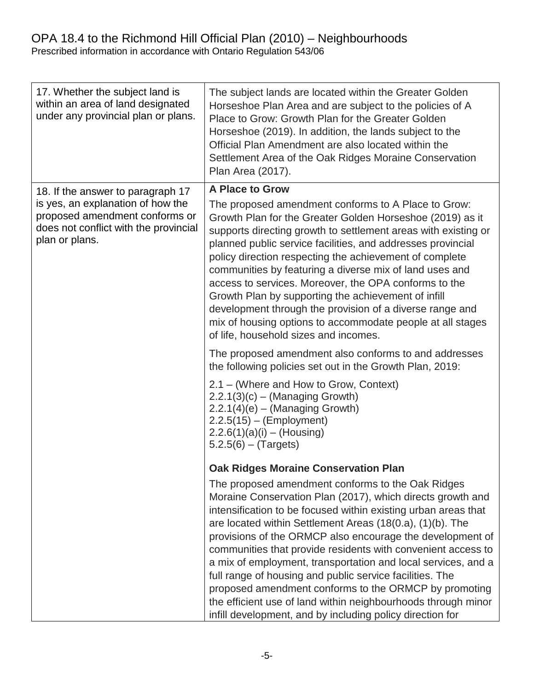### OPA 18.4 to the Richmond Hill Official Plan (2010) – Neighbourhoods Prescribed information in accordance with Ontario Regulation 543/06

| 17. Whether the subject land is<br>within an area of land designated<br>under any provincial plan or plans.                    | The subject lands are located within the Greater Golden<br>Horseshoe Plan Area and are subject to the policies of A<br>Place to Grow: Growth Plan for the Greater Golden<br>Horseshoe (2019). In addition, the lands subject to the<br>Official Plan Amendment are also located within the<br>Settlement Area of the Oak Ridges Moraine Conservation<br>Plan Area (2017).                                                                                                                                                                                                                                                                                                                       |
|--------------------------------------------------------------------------------------------------------------------------------|-------------------------------------------------------------------------------------------------------------------------------------------------------------------------------------------------------------------------------------------------------------------------------------------------------------------------------------------------------------------------------------------------------------------------------------------------------------------------------------------------------------------------------------------------------------------------------------------------------------------------------------------------------------------------------------------------|
| 18. If the answer to paragraph 17                                                                                              | <b>A Place to Grow</b>                                                                                                                                                                                                                                                                                                                                                                                                                                                                                                                                                                                                                                                                          |
| is yes, an explanation of how the<br>proposed amendment conforms or<br>does not conflict with the provincial<br>plan or plans. | The proposed amendment conforms to A Place to Grow:<br>Growth Plan for the Greater Golden Horseshoe (2019) as it<br>supports directing growth to settlement areas with existing or<br>planned public service facilities, and addresses provincial<br>policy direction respecting the achievement of complete<br>communities by featuring a diverse mix of land uses and<br>access to services. Moreover, the OPA conforms to the<br>Growth Plan by supporting the achievement of infill<br>development through the provision of a diverse range and<br>mix of housing options to accommodate people at all stages<br>of life, household sizes and incomes.                                      |
|                                                                                                                                | The proposed amendment also conforms to and addresses<br>the following policies set out in the Growth Plan, 2019:                                                                                                                                                                                                                                                                                                                                                                                                                                                                                                                                                                               |
|                                                                                                                                | 2.1 – (Where and How to Grow, Context)<br>$2.2.1(3)(c) - (Manging Growth)$<br>$2.2.1(4)(e) - (Manging Growth)$<br>$2.2.5(15) - (Employment)$<br>$2.2.6(1)(a)(i) - (Housing)$<br>$5.2.5(6) - (Targest)$                                                                                                                                                                                                                                                                                                                                                                                                                                                                                          |
|                                                                                                                                | <b>Oak Ridges Moraine Conservation Plan</b>                                                                                                                                                                                                                                                                                                                                                                                                                                                                                                                                                                                                                                                     |
|                                                                                                                                | The proposed amendment conforms to the Oak Ridges<br>Moraine Conservation Plan (2017), which directs growth and<br>intensification to be focused within existing urban areas that<br>are located within Settlement Areas (18(0.a), (1)(b). The<br>provisions of the ORMCP also encourage the development of<br>communities that provide residents with convenient access to<br>a mix of employment, transportation and local services, and a<br>full range of housing and public service facilities. The<br>proposed amendment conforms to the ORMCP by promoting<br>the efficient use of land within neighbourhoods through minor<br>infill development, and by including policy direction for |